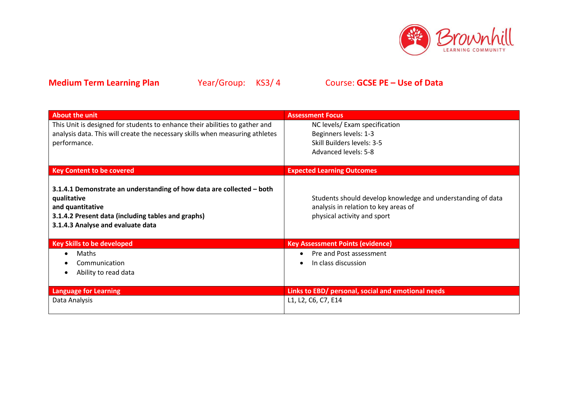

| <b>About the unit</b>                                                                                                                                                                               | <b>Assessment Focus</b>                                                                                                            |
|-----------------------------------------------------------------------------------------------------------------------------------------------------------------------------------------------------|------------------------------------------------------------------------------------------------------------------------------------|
| This Unit is designed for students to enhance their abilities to gather and<br>analysis data. This will create the necessary skills when measuring athletes<br>performance.                         | NC levels/ Exam specification<br>Beginners levels: 1-3<br>Skill Builders levels: 3-5<br>Advanced levels: 5-8                       |
| <b>Key Content to be covered</b>                                                                                                                                                                    | <b>Expected Learning Outcomes</b>                                                                                                  |
| 3.1.4.1 Demonstrate an understanding of how data are collected - both<br>qualitative<br>and quantitative<br>3.1.4.2 Present data (including tables and graphs)<br>3.1.4.3 Analyse and evaluate data | Students should develop knowledge and understanding of data<br>analysis in relation to key areas of<br>physical activity and sport |
| <b>Key Skills to be developed</b>                                                                                                                                                                   | <b>Key Assessment Points (evidence)</b>                                                                                            |
| Maths<br>Communication<br>Ability to read data                                                                                                                                                      | Pre and Post assessment<br>In class discussion                                                                                     |
| <b>Language for Learning</b>                                                                                                                                                                        | Links to EBD/ personal, social and emotional needs                                                                                 |
| Data Analysis                                                                                                                                                                                       | L1, L2, C6, C7, E14                                                                                                                |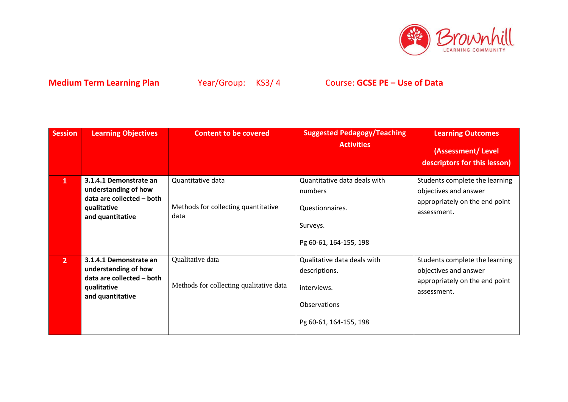

| <b>Session</b> | <b>Learning Objectives</b>                                                                                     | <b>Content to be covered</b>                                     | <b>Suggested Pedagogy/Teaching</b><br><b>Activities</b>                                               | <b>Learning Outcomes</b><br>(Assessment/Level<br>descriptors for this lesson)                            |
|----------------|----------------------------------------------------------------------------------------------------------------|------------------------------------------------------------------|-------------------------------------------------------------------------------------------------------|----------------------------------------------------------------------------------------------------------|
| $\mathbf{1}$   | 3.1.4.1 Demonstrate an<br>understanding of how<br>data are collected - both<br>qualitative<br>and quantitative | Quantitative data<br>Methods for collecting quantitative<br>data | Quantitative data deals with<br>numbers<br>Questionnaires.<br>Surveys.<br>Pg 60-61, 164-155, 198      | Students complete the learning<br>objectives and answer<br>appropriately on the end point<br>assessment. |
| 2 <sup>1</sup> | 3.1.4.1 Demonstrate an<br>understanding of how<br>data are collected - both<br>qualitative<br>and quantitative | Qualitative data<br>Methods for collecting qualitative data      | Qualitative data deals with<br>descriptions.<br>interviews.<br>Observations<br>Pg 60-61, 164-155, 198 | Students complete the learning<br>objectives and answer<br>appropriately on the end point<br>assessment. |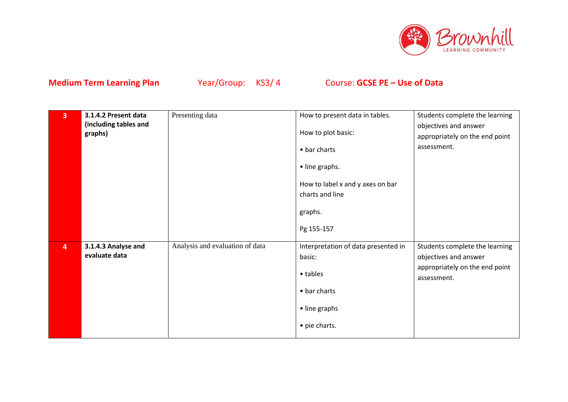

| $\overline{\mathbf{3}}$ | 3.1.4.2 Present data<br>(including tables and<br>graphs) | Presenting data                 | How to present data in tables.<br>How to plot basic:<br>• bar charts<br>• line graphs.<br>How to label x and y axes on bar<br>charts and line<br>graphs.<br>Pg 155-157 | Students complete the learning<br>objectives and answer<br>appropriately on the end point<br>assessment. |
|-------------------------|----------------------------------------------------------|---------------------------------|------------------------------------------------------------------------------------------------------------------------------------------------------------------------|----------------------------------------------------------------------------------------------------------|
| $\overline{\mathbf{4}}$ | 3.1.4.3 Analyse and<br>evaluate data                     | Analysis and evaluation of data | Interpretation of data presented in<br>basic:<br>• tables<br>• bar charts<br>• line graphs<br>• pie charts.                                                            | Students complete the learning<br>objectives and answer<br>appropriately on the end point<br>assessment. |